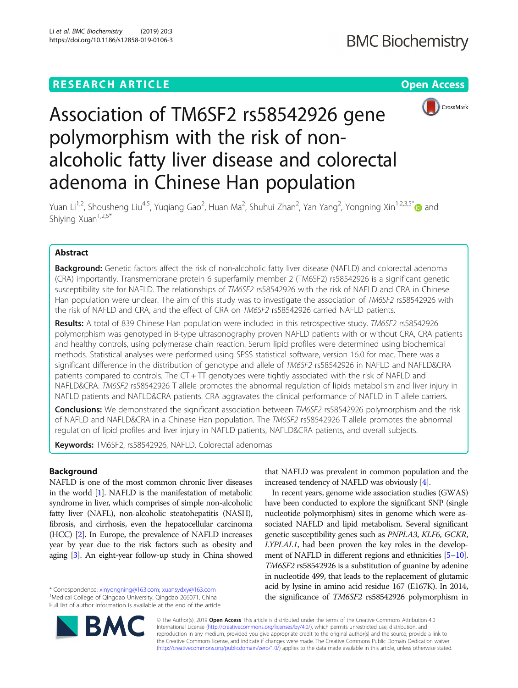

# Association of TM6SF2 rs58542926 gene polymorphism with the risk of nonalcoholic fatty liver disease and colorectal adenoma in Chinese Han population

Yuan Li<sup>1,2</sup>, Shousheng Liu<sup>4,5</sup>, Yuqiang Gao<sup>2</sup>, Huan Ma<sup>2</sup>, Shuhui Zhan<sup>2</sup>, Yan Yang<sup>2</sup>, Yongning Xin<sup>1,2,3,5\*</sup>⋒ and Shiying Xuan<sup>1,2,5\*</sup>

# Abstract

**Background:** Genetic factors affect the risk of non-alcoholic fatty liver disease (NAFLD) and colorectal adenoma (CRA) importantly. Transmembrane protein 6 superfamily member 2 (TM6SF2) rs58542926 is a significant genetic susceptibility site for NAFLD. The relationships of TM6SF2 rs58542926 with the risk of NAFLD and CRA in Chinese Han population were unclear. The aim of this study was to investigate the association of TM6SF2 rs58542926 with the risk of NAFLD and CRA, and the effect of CRA on TM6SF2 rs58542926 carried NAFLD patients.

Results: A total of 839 Chinese Han population were included in this retrospective study. TM6SF2 rs58542926 polymorphism was genotyped in B-type ultrasonography proven NAFLD patients with or without CRA, CRA patients and healthy controls, using polymerase chain reaction. Serum lipid profiles were determined using biochemical methods. Statistical analyses were performed using SPSS statistical software, version 16.0 for mac. There was a significant difference in the distribution of genotype and allele of TM6SF2 rs58542926 in NAFLD and NAFLD&CRA patients compared to controls. The  $CT + TT$  genotypes were tightly associated with the risk of NAFLD and NAFLD&CRA. TM6SF2 rs58542926 T allele promotes the abnormal regulation of lipids metabolism and liver injury in NAFLD patients and NAFLD&CRA patients. CRA aggravates the clinical performance of NAFLD in T allele carriers.

**Conclusions:** We demonstrated the significant association between TM6SF2 rs58542926 polymorphism and the risk of NAFLD and NAFLD&CRA in a Chinese Han population. The TM6SF2 rs58542926 T allele promotes the abnormal regulation of lipid profiles and liver injury in NAFLD patients, NAFLD&CRA patients, and overall subjects.

Keywords: TM6SF2, rs58542926, NAFLD, Colorectal adenomas

# Background

NAFLD is one of the most common chronic liver diseases in the world [\[1\]](#page-6-0). NAFLD is the manifestation of metabolic syndrome in liver, which comprises of simple non-alcoholic fatty liver (NAFL), non-alcoholic steatohepatitis (NASH), fibrosis, and cirrhosis, even the hepatocellular carcinoma (HCC) [[2](#page-6-0)]. In Europe, the prevalence of NAFLD increases year by year due to the risk factors such as obesity and aging [\[3](#page-6-0)]. An eight-year follow-up study in China showed

\* Correspondence: [xinyongning@163.com](mailto:xinyongning@163.com); [xuansydxy@163.com](mailto:xuansydxy@163.com) <sup>1</sup> Medical College of Qingdao University, Qingdao 266071, China Full list of author information is available at the end of the article that NAFLD was prevalent in common population and the increased tendency of NAFLD was obviously [[4](#page-6-0)].

In recent years, genome wide association studies (GWAS) have been conducted to explore the significant SNP (single nucleotide polymorphism) sites in genome which were associated NAFLD and lipid metabolism. Several significant genetic susceptibility genes such as PNPLA3, KLF6, GCKR, LYPLAL1, had been proven the key roles in the development of NAFLD in different regions and ethnicities [[5](#page-6-0)–[10](#page-6-0)]. TM6SF2 rs58542926 is a substitution of guanine by adenine in nucleotide 499, that leads to the replacement of glutamic acid by lysine in amino acid residue 167 (E167K). In 2014, the significance of TM6SF2 rs58542926 polymorphism in



© The Author(s). 2019 Open Access This article is distributed under the terms of the Creative Commons Attribution 4.0 International License [\(http://creativecommons.org/licenses/by/4.0/](http://creativecommons.org/licenses/by/4.0/)), which permits unrestricted use, distribution, and reproduction in any medium, provided you give appropriate credit to the original author(s) and the source, provide a link to the Creative Commons license, and indicate if changes were made. The Creative Commons Public Domain Dedication waiver [\(http://creativecommons.org/publicdomain/zero/1.0/](http://creativecommons.org/publicdomain/zero/1.0/)) applies to the data made available in this article, unless otherwise stated.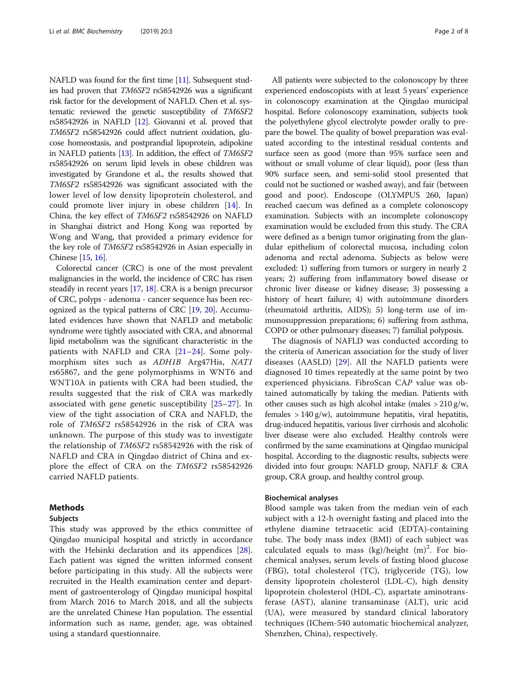NAFLD was found for the first time [[11](#page-6-0)]. Subsequent studies had proven that TM6SF2 rs58542926 was a significant risk factor for the development of NAFLD. Chen et al. systematic reviewed the genetic susceptibility of TM6SF2 rs58542926 in NAFLD [\[12](#page-6-0)]. Giovanni et al. proved that TM6SF2 rs58542926 could affect nutrient oxidation, glucose homeostasis, and postprandial lipoprotein, adipokine in NAFLD patients [\[13](#page-6-0)]. In addition, the effect of TM6SF2 rs58542926 on serum lipid levels in obese children was investigated by Grandone et al., the results showed that TM6SF2 rs58542926 was significant associated with the lower level of low density lipoprotein cholesterol, and could promote liver injury in obese children [\[14\]](#page-6-0). In China, the key effect of TM6SF2 rs58542926 on NAFLD in Shanghai district and Hong Kong was reported by Wong and Wang, that provided a primary evidence for the key role of TM6SF2 rs58542926 in Asian especially in Chinese [\[15,](#page-6-0) [16](#page-6-0)].

Colorectal cancer (CRC) is one of the most prevalent malignancies in the world, the incidence of CRC has risen steadily in recent years [[17](#page-6-0), [18\]](#page-7-0). CRA is a benign precursor of CRC, polyps - adenoma - cancer sequence has been recognized as the typical patterns of CRC [\[19,](#page-7-0) [20\]](#page-7-0). Accumulated evidences have shown that NAFLD and metabolic syndrome were tightly associated with CRA, and abnormal lipid metabolism was the significant characteristic in the patients with NAFLD and CRA [[21](#page-7-0)–[24\]](#page-7-0). Some polymorphism sites such as ADH1B Arg47His, NAT1 rs65867, and the gene polymorphisms in WNT6 and WNT10A in patients with CRA had been studied, the results suggested that the risk of CRA was markedly associated with gene genetic susceptibility [[25](#page-7-0)–[27\]](#page-7-0). In view of the tight association of CRA and NAFLD, the role of TM6SF2 rs58542926 in the risk of CRA was unknown. The purpose of this study was to investigate the relationship of TM6SF2 rs58542926 with the risk of NAFLD and CRA in Qingdao district of China and explore the effect of CRA on the TM6SF2 rs58542926 carried NAFLD patients.

# Methods

# Subjects

This study was approved by the ethics committee of Qingdao municipal hospital and strictly in accordance with the Helsinki declaration and its appendices [\[28](#page-7-0)]. Each patient was signed the written informed consent before participating in this study. All the subjects were recruited in the Health examination center and department of gastroenterology of Qingdao municipal hospital from March 2016 to March 2018, and all the subjects are the unrelated Chinese Han population. The essential information such as name, gender, age, was obtained using a standard questionnaire.

All patients were subjected to the colonoscopy by three experienced endoscopists with at least 5 years' experience in colonoscopy examination at the Qingdao municipal hospital. Before colonoscopy examination, subjects took the polyethylene glycol electrolyte powder orally to prepare the bowel. The quality of bowel preparation was evaluated according to the intestinal residual contents and surface seen as good (more than 95% surface seen and without or small volume of clear liquid), poor (less than 90% surface seen, and semi-solid stool presented that could not be suctioned or washed away), and fair (between good and poor). Endoscope (OLYMPUS 260, Japan) reached caecum was defined as a complete colonoscopy examination. Subjects with an incomplete colonoscopy examination would be excluded from this study. The CRA were defined as a benign tumor originating from the glandular epithelium of colorectal mucosa, including colon adenoma and rectal adenoma. Subjects as below were excluded: 1) suffering from tumors or surgery in nearly 2 years; 2) suffering from inflammatory bowel disease or chronic liver disease or kidney disease; 3) possessing a history of heart failure; 4) with autoimmune disorders (rheumatoid arthritis, AIDS); 5) long-term use of immunosuppression preparations; 6) suffering from asthma, COPD or other pulmonary diseases; 7) familial polyposis.

The diagnosis of NAFLD was conducted according to the criteria of American association for the study of liver diseases (AASLD) [\[29](#page-7-0)]. All the NAFLD patients were diagnosed 10 times repeatedly at the same point by two experienced physicians. FibroScan CAP value was obtained automatically by taking the median. Patients with other causes such as high alcohol intake (males  $>$  210 g/w, females  $> 140 \text{ g/w}$ , autoimmune hepatitis, viral hepatitis, drug-induced hepatitis, various liver cirrhosis and alcoholic liver disease were also excluded. Healthy controls were confirmed by the same examinations at Qingdao municipal hospital. According to the diagnostic results, subjects were divided into four groups: NAFLD group, NAFLF & CRA group, CRA group, and healthy control group.

# Biochemical analyses

Blood sample was taken from the median vein of each subject with a 12-h overnight fasting and placed into the ethylene diamine tetraacetic acid (EDTA)-containing tube. The body mass index (BMI) of each subject was calculated equals to mass  $(kg)/height$  (m)<sup>2</sup>. For biochemical analyses, serum levels of fasting blood glucose (FBG), total cholesterol (TC), triglyceride (TG), low density lipoprotein cholesterol (LDL-C), high density lipoprotein cholesterol (HDL-C), aspartate aminotransferase (AST), alanine transaminase (ALT), uric acid (UA), were measured by standard clinical laboratory techniques (IChem-540 automatic biochemical analyzer, Shenzhen, China), respectively.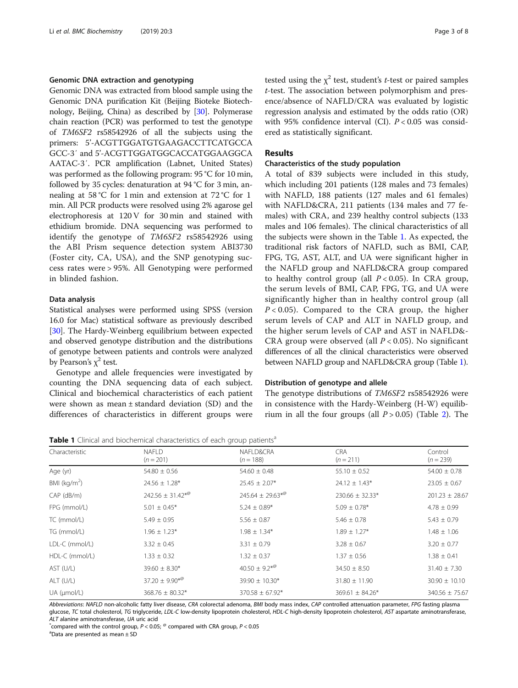## Genomic DNA extraction and genotyping

Genomic DNA was extracted from blood sample using the Genomic DNA purification Kit (Beijing Bioteke Biotechnology, Beijing, China) as described by [\[30\]](#page-7-0). Polymerase chain reaction (PCR) was performed to test the genotype of TM6SF2 rs58542926 of all the subjects using the primers: 5'-ACGTTGGATGTGAAGACCTTCATGCCA GCC-3′ and 5'-ACGTTGGATGGCACCATGGAAGGCA AATAC-3′. PCR amplification (Labnet, United States) was performed as the following program: 95 °C for 10 min, followed by 35 cycles: denaturation at 94 °C for 3 min, annealing at 58 °C for 1 min and extension at 72 °C for 1 min. All PCR products were resolved using 2% agarose gel electrophoresis at 120 V for 30 min and stained with ethidium bromide. DNA sequencing was performed to identify the genotype of TM6SF2 rs58542926 using the ABI Prism sequence detection system ABI3730 (Foster city, CA, USA), and the SNP genotyping success rates were > 95%. All Genotyping were performed in blinded fashion.

# Data analysis

Statistical analyses were performed using SPSS (version 16.0 for Mac) statistical software as previously described [[30](#page-7-0)]. The Hardy-Weinberg equilibrium between expected and observed genotype distribution and the distributions of genotype between patients and controls were analyzed by Pearson's  $\chi^2$  test.

Genotype and allele frequencies were investigated by counting the DNA sequencing data of each subject. Clinical and biochemical characteristics of each patient were shown as mean ± standard deviation (SD) and the differences of characteristics in different groups were

tested using the  $\chi^2$  test, student's *t*-test or paired samples t-test. The association between polymorphism and presence/absence of NAFLD/CRA was evaluated by logistic regression analysis and estimated by the odds ratio (OR) with 95% confidence interval (CI).  $P < 0.05$  was considered as statistically significant.

# Results

## Characteristics of the study population

A total of 839 subjects were included in this study, which including 201 patients (128 males and 73 females) with NAFLD, 188 patients (127 males and 61 females) with NAFLD&CRA, 211 patients (134 males and 77 females) with CRA, and 239 healthy control subjects (133 males and 106 females). The clinical characteristics of all the subjects were shown in the Table 1. As expected, the traditional risk factors of NAFLD, such as BMI, CAP, FPG, TG, AST, ALT, and UA were significant higher in the NAFLD group and NAFLD&CRA group compared to healthy control group (all  $P < 0.05$ ). In CRA group, the serum levels of BMI, CAP, FPG, TG, and UA were significantly higher than in healthy control group (all  $P < 0.05$ ). Compared to the CRA group, the higher serum levels of CAP and ALT in NAFLD group, and the higher serum levels of CAP and AST in NAFLD&- CRA group were observed (all  $P < 0.05$ ). No significant differences of all the clinical characteristics were observed between NAFLD group and NAFLD&CRA group (Table 1).

# Distribution of genotype and allele

The genotype distributions of TM6SF2 rs58542926 were in consistence with the Hardy-Weinberg (H-W) equilibrium in all the four groups (all  $P > 0.05$ ) (Table [2](#page-3-0)). The

Table 1 Clinical and biochemical characteristics of each group patients<sup>a</sup>

| Characteristic   | <b>NAFLD</b><br>$(n = 201)$ | NAFLD&CRA<br>$(n = 188)$ | <b>CRA</b><br>$(n=211)$ | Control<br>$(n = 239)$ |
|------------------|-----------------------------|--------------------------|-------------------------|------------------------|
| Age (yr)         | $54.80 \pm 0.56$            | $54.60 \pm 0.48$         | $55.10 \pm 0.52$        | $54.00 \pm 0.78$       |
| BMI ( $kg/m2$ )  | $24.56 \pm 1.28*$           | $25.45 \pm 2.07*$        | $24.12 \pm 1.43*$       | $23.05 \pm 0.67$       |
| $CAP$ ( $dB/m$ ) | $242.56 \pm 31.42^{*@}$     | $245.64 \pm 29.63^{*@}$  | $230.66 \pm 32.33*$     | $201.23 \pm 28.67$     |
| FPG (mmol/L)     | $5.01 \pm 0.45*$            | $5.24 \pm 0.89*$         | $5.09 \pm 0.78$ *       | $4.78 \pm 0.99$        |
| TC (mmol/L)      | $5.49 \pm 0.95$             | $5.56 \pm 0.87$          | $5.46 \pm 0.78$         | $5.43 \pm 0.79$        |
| TG (mmol/L)      | $1.96 \pm 1.23*$            | $1.98 \pm 1.34*$         | $1.89 \pm 1.27*$        | $1.48 \pm 1.06$        |
| LDL-C (mmol/L)   | $3.32 \pm 0.45$             | $3.31 \pm 0.79$          | $3.28 \pm 0.67$         | $3.20 \pm 0.77$        |
| HDL-C (mmol/L)   | $1.33 \pm 0.32$             | $1.32 \pm 0.37$          | $1.37 \pm 0.56$         | $1.38 \pm 0.41$        |
| AST (U/L)        | $39.60 \pm 8.30*$           | $40.50 \pm 9.2^{*@}$     | $34.50 \pm 8.50$        | $31.40 \pm 7.30$       |
| ALT (U/L)        | $37.20 \pm 9.90^{*}$        | 39.90 ± 10.30*           | $31.80 \pm 11.90$       | $30.90 \pm 10.10$      |
| UA (umol/L)      | $368.76 \pm 80.32*$         | $370.58 \pm 67.92*$      | $369.61 \pm 84.26*$     | $340.56 \pm 75.67$     |

Abbreviations: NAFLD non-alcoholic fatty liver disease, CRA colorectal adenoma, BMI body mass index, CAP controlled attenuation parameter, FPG fasting plasma glucose, TC total cholesterol, TG triglyceride, LDL-C low-density lipoprotein cholesterol, HDL-C high-density lipoprotein cholesterol, AST aspartate aminotransferase,<br>ALT alanine aminotransferase. UA uric acid

ALT alanine aminotransferase, UA uric acid<br>- compared with the control group, P < 0.05; ® compared with CRA group, P < 0.05<br>ªData are presented as mean + SD

 $a$ Data are presented as mean  $\pm$  SD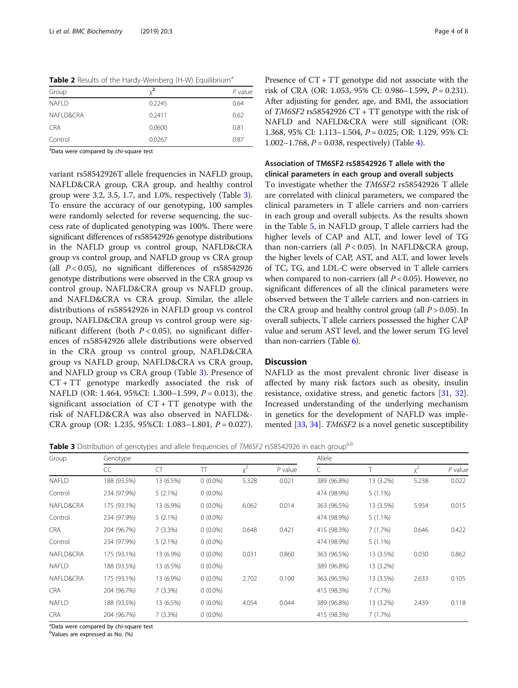<span id="page-3-0"></span>Table 2 Results of the Hardy-Weinberg (H-W) Equilibrium<sup>a</sup>

| Group        | $\sqrt{2}$ | P value |
|--------------|------------|---------|
| <b>NAFLD</b> | 0.2245     | 0.64    |
| NAFLD&CRA    | 0.2411     | 0.62    |
| <b>CRA</b>   | 0.0600     | 0.81    |
| Control      | 0.0267     | 0.87    |

<sup>a</sup>Data were compared by chi-square test

variant rs58542926T allele frequencies in NAFLD group, NAFLD&CRA group, CRA group, and healthy control group were 3.2, 3.5, 1.7, and 1.0%, respectively (Table 3). To ensure the accuracy of our genotyping, 100 samples were randomly selected for reverse sequencing, the success rate of duplicated genotyping was 100%. There were significant differences of rs58542926 genotype distributions in the NAFLD group vs control group, NAFLD&CRA group vs control group, and NAFLD group vs CRA group (all  $P < 0.05$ ), no significant differences of rs58542926 genotype distributions were observed in the CRA group vs control group, NAFLD&CRA group vs NAFLD group, and NAFLD&CRA vs CRA group. Similar, the allele distributions of rs58542926 in NAFLD group vs control group, NAFLD&CRA group vs control group were significant different (both  $P < 0.05$ ), no significant differences of rs58542926 allele distributions were observed in the CRA group vs control group, NAFLD&CRA group vs NAFLD group, NAFLD&CRA vs CRA group, and NAFLD group vs CRA group (Table 3). Presence of CT + TT genotype markedly associated the risk of NAFLD (OR: 1.464, 95%CI: 1.300–1.599, P = 0.013), the significant association of  $CT + TT$  genotype with the risk of NAFLD&CRA was also observed in NAFLD&- CRA group (OR: 1.235, 95%CI: 1.083–1.801,  $P = 0.027$ ). Presence of CT + TT genotype did not associate with the risk of CRA (OR: 1.053, 95% CI: 0.986–1.599, P = 0.231). After adjusting for gender, age, and BMI, the association of  $TM6SF2$  rs58542926 CT + TT genotype with the risk of NAFLD and NAFLD&CRA were still significant (OR: 1.368, 95% CI: 1.113–1.504, P = 0.025; OR: 1.129, 95% CI: 1.002–1.768,  $P = 0.038$ , respectively) (Table [4](#page-4-0)).

# Association of TM6SF2 rs58542926 T allele with the clinical parameters in each group and overall subjects

To investigate whether the TM6SF2 rs58542926 T allele are correlated with clinical parameters, we compared the clinical parameters in T allele carriers and non-carriers in each group and overall subjects. As the results shown in the Table [5](#page-4-0), in NAFLD group, T allele carriers had the higher levels of CAP and ALT, and lower level of TG than non-carriers (all  $P < 0.05$ ). In NAFLD&CRA group, the higher levels of CAP, AST, and ALT, and lower levels of TC, TG, and LDL-C were observed in T allele carriers when compared to non-carriers (all  $P < 0.05$ ). However, no significant differences of all the clinical parameters were observed between the T allele carriers and non-carriers in the CRA group and healthy control group (all  $P > 0.05$ ). In overall subjects, T allele carriers possessed the higher CAP value and serum AST level, and the lower serum TG level than non-carriers (Table [6](#page-5-0)).

# **Discussion**

NAFLD as the most prevalent chronic liver disease is affected by many risk factors such as obesity, insulin resistance, oxidative stress, and genetic factors [\[31](#page-7-0), [32](#page-7-0)]. Increased understanding of the underlying mechanism in genetics for the development of NAFLD was imple-mented [[33](#page-7-0), [34](#page-7-0)]. TM6SF2 is a novel genetic susceptibility

Table 3 Distribution of genotypes and allele frequencies of TM6SF2 rs58542926 in each group<sup>a,b</sup>

| Genotype    |            |            |       |           | Allele      |            |       |           |
|-------------|------------|------------|-------|-----------|-------------|------------|-------|-----------|
| CC          | CT         | TT         | $x^2$ | $P$ value | C           | T.         | $x^2$ | $P$ value |
| 188 (93.5%) | 13 (6.5%)  | $0(0.0\%)$ | 5.328 | 0.021     | 389 (96.8%) | 13 (3.2%)  | 5.238 | 0.022     |
| 234 (97.9%) | $5(2.1\%)$ | $0(0.0\%)$ |       |           | 474 (98.9%) | $5(1.1\%)$ |       |           |
| 175 (93.1%) | 13 (6.9%)  | $0(0.0\%)$ | 6.062 | 0.014     | 363 (96.5%) | 13 (3.5%)  | 5.954 | 0.015     |
| 234 (97.9%) | $5(2.1\%)$ | $0(0.0\%)$ |       |           | 474 (98.9%) | $5(1.1\%)$ |       |           |
| 204 (96.7%) | 7(3.3%)    | $0(0.0\%)$ | 0.648 | 0.421     | 415 (98.3%) | 7(1.7%)    | 0.646 | 0.422     |
| 234 (97.9%) | $5(2.1\%)$ | $0(0.0\%)$ |       |           | 474 (98.9%) | $5(1.1\%)$ |       |           |
| 175 (93.1%) | 13 (6.9%)  | $0(0.0\%)$ | 0.031 | 0.860     | 363 (96.5%) | 13 (3.5%)  | 0.030 | 0.862     |
| 188 (93.5%) | 13 (6.5%)  | $0(0.0\%)$ |       |           | 389 (96.8%) | 13 (3.2%)  |       |           |
| 175 (93.1%) | 13 (6.9%)  | $0(0.0\%)$ | 2.702 | 0.100     | 363 (96.5%) | 13 (3.5%)  | 2.633 | 0.105     |
| 204 (96.7%) | $7(3.3\%)$ | $0(0.0\%)$ |       |           | 415 (98.3%) | 7(1.7%)    |       |           |
| 188 (93.5%) | 13 (6.5%)  | $0(0.0\%)$ | 4.054 | 0.044     | 389 (96.8%) | 13 (3.2%)  | 2.439 | 0.118     |
| 204 (96.7%) | 7(3.3%)    | $0(0.0\%)$ |       |           | 415 (98.3%) | 7(1.7%)    |       |           |
|             |            |            |       |           |             |            |       |           |

<sup>a</sup>Data were compared by chi-square test

<sup>b</sup>Values are expressed as No. (%)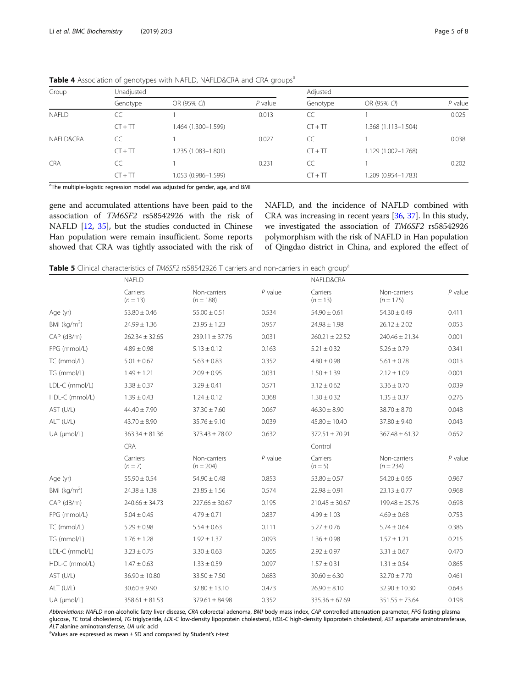| Group        | Unadjusted |                     |           |           | Adjusted            |           |  |
|--------------|------------|---------------------|-----------|-----------|---------------------|-----------|--|
|              | Genotype   | OR (95% CI)         | $P$ value | Genotype  | OR (95% CI)         | $P$ value |  |
| <b>NAFLD</b> | CC         |                     | 0.013     | CC        |                     | 0.025     |  |
|              | $CT + TT$  | 1.464 (1.300-1.599) |           | $CT + TT$ | 1.368 (1.113-1.504) |           |  |
| NAFLD&CRA    | CC         |                     | 0.027     | CC        |                     | 0.038     |  |
|              | $CT + TT$  | 1.235 (1.083-1.801) |           | $CT + TT$ | 1.129 (1.002-1.768) |           |  |
| <b>CRA</b>   | CC         |                     | 0.231     | CC        |                     | 0.202     |  |
|              | $CT + TT$  | 1.053 (0.986-1.599) |           | $CT + TT$ | 1.209 (0.954-1.783) |           |  |

<span id="page-4-0"></span>Table 4 Association of genotypes with NAFLD, NAFLD&CRA and CRA groups<sup>a</sup>

<sup>a</sup>The multiple-logistic regression model was adjusted for gender, age, and BMI

gene and accumulated attentions have been paid to the association of TM6SF2 rs58542926 with the risk of NAFLD [\[12](#page-6-0), [35](#page-7-0)], but the studies conducted in Chinese Han population were remain insufficient. Some reports showed that CRA was tightly associated with the risk of NAFLD, and the incidence of NAFLD combined with CRA was increasing in recent years [[36](#page-7-0), [37\]](#page-7-0). In this study, we investigated the association of TM6SF2 rs58542926 polymorphism with the risk of NAFLD in Han population of Qingdao district in China, and explored the effect of

**Table 5** Clinical characteristics of *TM6SF2* rs58542926 T carriers and non-carriers in each group<sup>a</sup>

|                          | <b>NAFLD</b>           |                             |           | NAFLD&CRA              |                             |           |
|--------------------------|------------------------|-----------------------------|-----------|------------------------|-----------------------------|-----------|
|                          | Carriers<br>$(n = 13)$ | Non-carriers<br>$(n = 188)$ | $P$ value | Carriers<br>$(n = 13)$ | Non-carriers<br>$(n = 175)$ | $P$ value |
| Age (yr)                 | $53.80 \pm 0.46$       | $55.00 \pm 0.51$            | 0.534     | $54.90 \pm 0.61$       | $54.30 \pm 0.49$            | 0.411     |
| BMI ( $kg/m2$ )          | $24.99 \pm 1.36$       | $23.95 \pm 1.23$            | 0.957     | $24.98 \pm 1.98$       | $26.12 \pm 2.02$            | 0.053     |
| $CAP$ ( $dB/m$ )         | $262.34 \pm 32.65$     | $239.11 \pm 37.76$          | 0.031     | $260.21 \pm 22.52$     | $240.46 \pm 21.34$          | 0.001     |
| FPG (mmol/L)             | $4.89 \pm 0.98$        | $5.13 \pm 0.12$             | 0.163     | $5.21 \pm 0.32$        | $5.26 \pm 0.79$             | 0.341     |
| TC (mmol/L)              | $5.01 \pm 0.67$        | $5.63 \pm 0.83$             | 0.352     | $4.80 \pm 0.98$        | $5.61 \pm 0.78$             | 0.013     |
| TG (mmol/L)              | $1.49 \pm 1.21$        | $2.09 \pm 0.95$             | 0.031     | $1.50 \pm 1.39$        | $2.12 \pm 1.09$             | 0.001     |
| LDL-C (mmol/L)           | $3.38 \pm 0.37$        | $3.29 \pm 0.41$             | 0.571     | $3.12 \pm 0.62$        | $3.36 \pm 0.70$             | 0.039     |
| HDL-C (mmol/L)           | $1.39 \pm 0.43$        | $1.24 \pm 0.12$             | 0.368     | $1.30 \pm 0.32$        | $1.35 \pm 0.37$             | 0.276     |
| AST (U/L)                | $44.40 \pm 7.90$       | $37.30 \pm 7.60$            | 0.067     | $46.30 \pm 8.90$       | $38.70 \pm 8.70$            | 0.048     |
| ALT (U/L)                | $43.70 \pm 8.90$       | $35.76 \pm 9.10$            | 0.039     | $45.80 \pm 10.40$      | $37.80 \pm 9.40$            | 0.043     |
| UA (µmol/L)              | $363.34 \pm 81.36$     | $373.43 \pm 78.02$          | 0.632     | $372.51 \pm 70.91$     | $367.48 \pm 61.32$          | 0.652     |
|                          | CRA                    |                             | Control   |                        |                             |           |
|                          | Carriers<br>$(n=7)$    | Non-carriers<br>$(n = 204)$ | $P$ value | Carriers<br>$(n=5)$    | Non-carriers<br>$(n = 234)$ | $P$ value |
| Age (yr)                 | $55.90 \pm 0.54$       | $54.90 \pm 0.48$            | 0.853     | $53.80 \pm 0.57$       | $54.20 \pm 0.65$            | 0.967     |
| BMI (kg/m <sup>2</sup> ) | $24.38 \pm 1.38$       | $23.85 \pm 1.56$            | 0.574     | $22.98 \pm 0.91$       | $23.13 \pm 0.77$            | 0.968     |
| $CAP$ ( $dB/m$ )         | $240.66 \pm 34.73$     | $227.66 \pm 30.67$          | 0.195     | $210.45 \pm 30.67$     | $199.48 \pm 25.76$          | 0.698     |
| FPG (mmol/L)             | $5.04 \pm 0.45$        | $4.79 \pm 0.71$             | 0.837     | $4.99 \pm 1.03$        | $4.69 \pm 0.68$             | 0.753     |
| TC (mmol/L)              | $5.29 \pm 0.98$        | $5.54 \pm 0.63$             | 0.111     | $5.27 \pm 0.76$        | $5.74 \pm 0.64$             | 0.386     |
| TG (mmol/L)              | $1.76 \pm 1.28$        | $1.92 \pm 1.37$             | 0.093     | $1.36 \pm 0.98$        | $1.57 \pm 1.21$             | 0.215     |
| LDL-C (mmol/L)           | $3.23 \pm 0.75$        | $3.30 \pm 0.63$             | 0.265     | $2.92 \pm 0.97$        | $3.31 \pm 0.67$             | 0.470     |
| HDL-C (mmol/L)           | $1.47 \pm 0.63$        | $1.33 \pm 0.59$             | 0.097     | $1.57 \pm 0.31$        | $1.31 \pm 0.54$             | 0.865     |
| AST (U/L)                | $36.90 \pm 10.80$      | $33.50 \pm 7.50$            | 0.683     | $30.60 \pm 6.30$       | $32.70 \pm 7.70$            | 0.461     |
| ALT (U/L)                | $30.60 \pm 9.90$       | $32.80 \pm 13.10$           | 0.473     | $26.90 \pm 8.10$       | $32.90 \pm 10.30$           | 0.643     |
| UA (µmol/L)              | $358.61 \pm 81.53$     | $379.61 \pm 84.98$          | 0.352     | $335.36 \pm 67.69$     | $351.55 \pm 73.64$          | 0.198     |

Abbreviations: NAFLD non-alcoholic fatty liver disease, CRA colorectal adenoma, BMI body mass index, CAP controlled attenuation parameter, FPG fasting plasma glucose, TC total cholesterol, TG triglyceride, LDL-C low-density lipoprotein cholesterol, HDL-C high-density lipoprotein cholesterol, AST aspartate aminotransferase, ALT alanine aminotransferase, UA uric acid

 $a$ Values are expressed as mean  $\pm$  SD and compared by Student's t-test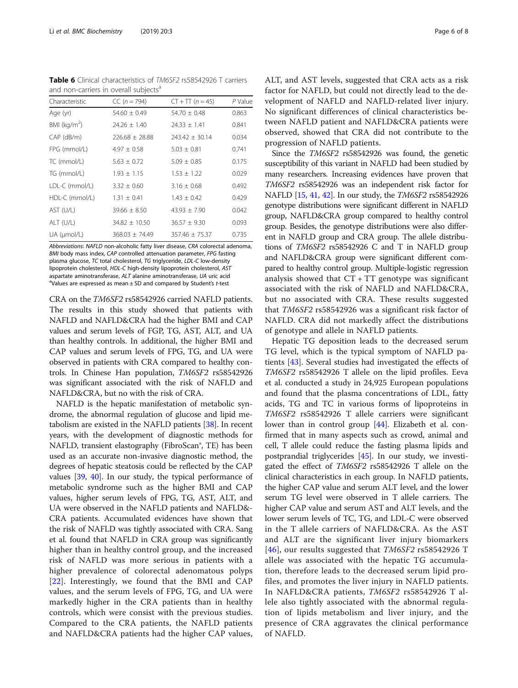<span id="page-5-0"></span>Table 6 Clinical characteristics of TM6SF2 rs58542926 T carriers and non-carriers in overall subjects<sup>a</sup>

| Characteristic          | $CC (n = 794)$     | $CT + TT (n = 45)$ | P Value |
|-------------------------|--------------------|--------------------|---------|
| Age (yr)                | $54.60 + 0.49$     | $54.70 + 0.48$     | 0.863   |
| BMI ( $kg/m2$ )         | $24.26 + 1.40$     | $74.33 + 1.41$     | 0.841   |
| $CAP$ ( $dB/m$ )        | $226.68 + 28.88$   | $743.47 + 30.14$   | 0.034   |
| FPG (mmol/L)            | $4.97 + 0.58$      | $5.03 + 0.81$      | 0.741   |
| TC (mmol/L)             | $5.63 + 0.72$      | $5.09 + 0.85$      | 0.175   |
| TG (mmol/L)             | $1.93 \pm 1.15$    | $1.53 + 1.22$      | 0.029   |
| LDL-C (mmol/L)          | $3.32 + 0.60$      | $3.16 + 0.68$      | 0.492   |
| HDL-C (mmol/L)          | $1.31 + 0.41$      | $1.43 + 0.42$      | 0.429   |
| AST (U/L)               | $39.66 + 8.50$     | $43.93 + 7.90$     | 0.042   |
| ALT (U/L)               | $34.82 \pm 10.50$  | $36.57 + 9.30$     | 0.093   |
| UA $(\mu \text{mol/L})$ | $368.03 \pm 74.49$ | $357.46 + 75.37$   | 0.735   |

Abbreviations: NAFLD non-alcoholic fatty liver disease, CRA colorectal adenoma, BMI body mass index, CAP controlled attenuation parameter, FPG fasting plasma glucose, TC total cholesterol, TG triglyceride, LDL-C low-density lipoprotein cholesterol, HDL-C high-density lipoprotein cholesterol, AST aspartate aminotransferase, ALT alanine aminotransferase, UA uric acid <sup>a</sup>  $\alpha$ Values are expressed as mean  $\pm$  SD and compared by Student's t-test

CRA on the TM6SF2 rs58542926 carried NAFLD patients. The results in this study showed that patients with NAFLD and NAFLD&CRA had the higher BMI and CAP values and serum levels of FGP, TG, AST, ALT, and UA than healthy controls. In additional, the higher BMI and CAP values and serum levels of FPG, TG, and UA were observed in patients with CRA compared to healthy controls. In Chinese Han population, TM6SF2 rs58542926 was significant associated with the risk of NAFLD and NAFLD&CRA, but no with the risk of CRA.

NAFLD is the hepatic manifestation of metabolic syndrome, the abnormal regulation of glucose and lipid metabolism are existed in the NAFLD patients [[38](#page-7-0)]. In recent years, with the development of diagnostic methods for NAFLD, transient elastography (FibroScan®, TE) has been used as an accurate non-invasive diagnostic method, the degrees of hepatic steatosis could be reflected by the CAP values [\[39,](#page-7-0) [40\]](#page-7-0). In our study, the typical performance of metabolic syndrome such as the higher BMI and CAP values, higher serum levels of FPG, TG, AST, ALT, and UA were observed in the NAFLD patients and NAFLD&- CRA patients. Accumulated evidences have shown that the risk of NAFLD was tightly associated with CRA. Sang et al. found that NAFLD in CRA group was significantly higher than in healthy control group, and the increased risk of NAFLD was more serious in patients with a higher prevalence of colorectal adenomatous polyps [[22\]](#page-7-0). Interestingly, we found that the BMI and CAP values, and the serum levels of FPG, TG, and UA were markedly higher in the CRA patients than in healthy controls, which were consist with the previous studies. Compared to the CRA patients, the NAFLD patients and NAFLD&CRA patients had the higher CAP values, ALT, and AST levels, suggested that CRA acts as a risk factor for NAFLD, but could not directly lead to the development of NAFLD and NAFLD-related liver injury. No significant differences of clinical characteristics between NAFLD patient and NAFLD&CRA patients were observed, showed that CRA did not contribute to the progression of NAFLD patients.

Since the TM6SF2 rs58542926 was found, the genetic susceptibility of this variant in NAFLD had been studied by many researchers. Increasing evidences have proven that TM6SF2 rs58542926 was an independent risk factor for NAFLD [\[15](#page-6-0), [41,](#page-7-0) [42](#page-7-0)]. In our study, the TM6SF2 rs58542926 genotype distributions were significant different in NAFLD group, NAFLD&CRA group compared to healthy control group. Besides, the genotype distributions were also different in NAFLD group and CRA group. The allele distributions of TM6SF2 rs58542926 C and T in NAFLD group and NAFLD&CRA group were significant different compared to healthy control group. Multiple-logistic regression analysis showed that  $CT + TT$  genotype was significant associated with the risk of NAFLD and NAFLD&CRA, but no associated with CRA. These results suggested that TM6SF2 rs58542926 was a significant risk factor of NAFLD. CRA did not markedly affect the distributions of genotype and allele in NAFLD patients.

Hepatic TG deposition leads to the decreased serum TG level, which is the typical symptom of NAFLD patients [[43\]](#page-7-0). Several studies had investigated the effects of TM6SF2 rs58542926 T allele on the lipid profiles. Eeva et al. conducted a study in 24,925 European populations and found that the plasma concentrations of LDL, fatty acids, TG and TC in various forms of lipoproteins in TM6SF2 rs58542926 T allele carriers were significant lower than in control group [[44\]](#page-7-0). Elizabeth et al. confirmed that in many aspects such as crowd, animal and cell, T allele could reduce the fasting plasma lipids and postprandial triglycerides [[45](#page-7-0)]. In our study, we investigated the effect of TM6SF2 rs58542926 T allele on the clinical characteristics in each group. In NAFLD patients, the higher CAP value and serum ALT level, and the lower serum TG level were observed in T allele carriers. The higher CAP value and serum AST and ALT levels, and the lower serum levels of TC, TG, and LDL-C were observed in the T allele carriers of NAFLD&CRA. As the AST and ALT are the significant liver injury biomarkers [[46](#page-7-0)], our results suggested that TM6SF2 rs58542926 T allele was associated with the hepatic TG accumulation, therefore leads to the decreased serum lipid profiles, and promotes the liver injury in NAFLD patients. In NAFLD&CRA patients, TM6SF2 rs58542926 T allele also tightly associated with the abnormal regulation of lipids metabolism and liver injury, and the presence of CRA aggravates the clinical performance of NAFLD.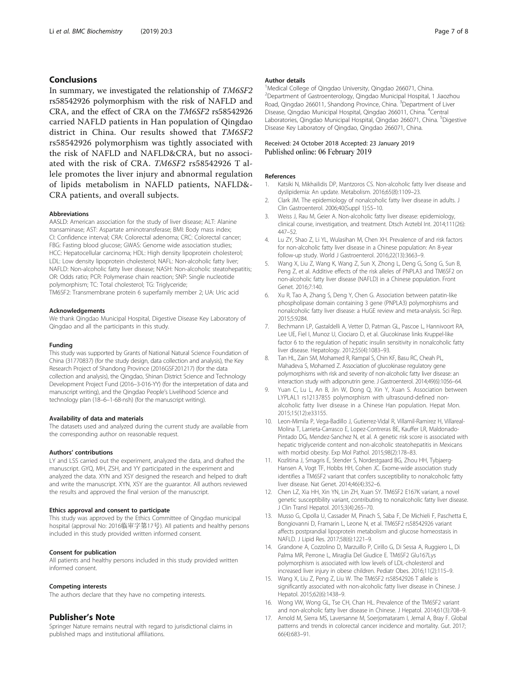# <span id="page-6-0"></span>Conclusions

In summary, we investigated the relationship of TM6SF2 rs58542926 polymorphism with the risk of NAFLD and CRA, and the effect of CRA on the TM6SF2 rs58542926 carried NAFLD patients in Han population of Qingdao district in China. Our results showed that TM6SF2 rs58542926 polymorphism was tightly associated with the risk of NAFLD and NAFLD&CRA, but no associated with the risk of CRA. TM6SF2 rs58542926 T allele promotes the liver injury and abnormal regulation of lipids metabolism in NAFLD patients, NAFLD&- CRA patients, and overall subjects.

#### Abbreviations

AASLD: American association for the study of liver disease; ALT: Alanine transaminase; AST: Aspartate aminotransferase; BMI: Body mass index; CI: Confidence interval; CRA: Colorectal adenoma; CRC: Colorectal cancer; FBG: Fasting blood glucose; GWAS: Genome wide association studies; HCC: Hepatocellular carcinoma; HDL: High density lipoprotein cholesterol; LDL: Low density lipoprotein cholesterol; NAFL: Non-alcoholic fatty liver; NAFLD: Non-alcoholic fatty liver disease; NASH: Non-alcoholic steatohepatitis; OR: Odds ratio; PCR: Polymerase chain reaction; SNP: Single nucleotide polymorphism; TC: Total cholesterol; TG: Triglyceride; TM6SF2: Transmembrane protein 6 superfamily member 2; UA: Uric acid

#### Acknowledgements

We thank Qingdao Municipal Hospital, Digestive Disease Key Laboratory of Qingdao and all the participants in this study.

#### Funding

This study was supported by Grants of National Natural Science Foundation of China (31770837) (for the study design, data collection and analysis), the Key Research Project of Shandong Province (2016GSF201217) (for the data collection and analysis), the Qingdao, Shinan District Science and Technology Development Project Fund (2016–3-016-YY) (for the interpretation of data and manuscript writing), and the Qingdao People's Livelihood Science and technology plan (18–6–1-68-nsh) (for the manuscript writing).

#### Availability of data and materials

The datasets used and analyzed during the current study are available from the corresponding author on reasonable request.

#### Authors' contributions

LY and LSS carried out the experiment, analyzed the data, and drafted the manuscript. GYQ, MH, ZSH, and YY participated in the experiment and analyzed the data. XYN and XSY designed the research and helped to draft and write the manuscript. XYN, XSY are the guarantor. All authors reviewed the results and approved the final version of the manuscript.

#### Ethics approval and consent to participate

This study was approved by the Ethics Committee of Qingdao municipal hospital (approval No: 2016临审字第17号). All patients and healthy persons included in this study provided written informed consent.

### Consent for publication

All patients and healthy persons included in this study provided written informed consent.

#### Competing interests

The authors declare that they have no competing interests.

## Publisher's Note

Springer Nature remains neutral with regard to jurisdictional claims in published maps and institutional affiliations.

## Author details

<sup>1</sup> Medical College of Qingdao University, Qingdao 266071, China 2 Department of Gastroenterology, Qingdao Municipal Hospital, 1 Jiaozhou Road, Qingdao 266011, Shandong Province, China. <sup>3</sup>Department of Liver Disease, Qingdao Municipal Hospital, Qingdao 266011, China. <sup>4</sup>Central Laboratories, Qingdao Municipal Hospital, Qingdao 266071, China. <sup>5</sup>Digestive Disease Key Laboratory of Qingdao, Qingdao 266071, China.

## Received: 24 October 2018 Accepted: 23 January 2019 Published online: 06 February 2019

## References

- 1. Katsiki N, Mikhailidis DP, Mantzoros CS. Non-alcoholic fatty liver disease and dyslipidemia: An update. Metabolism. 2016;65(8):1109–23.
- 2. Clark JM. The epidemiology of nonalcoholic fatty liver disease in adults. J Clin Gastroenterol. 2006;40(Suppl 1):S5–10.
- 3. Weiss J, Rau M, Geier A. Non-alcoholic fatty liver disease: epidemiology, clinical course, investigation, and treatment. Dtsch Arztebl Int. 2014;111(26): 447–52.
- 4. Lu ZY, Shao Z, Li YL, Wulasihan M, Chen XH. Prevalence of and risk factors for non-alcoholic fatty liver disease in a Chinese population: An 8-year follow-up study. World J Gastroenterol. 2016;22(13):3663–9.
- 5. Wang X, Liu Z, Wang K, Wang Z, Sun X, Zhong L, Deng G, Song G, Sun B, Peng Z, et al. Additive effects of the risk alleles of PNPLA3 and TM6SF2 on non-alcoholic fatty liver disease (NAFLD) in a Chinese population. Front Genet. 2016;7:140.
- 6. Xu R, Tao A, Zhang S, Deng Y, Chen G. Association between patatin-like phospholipase domain containing 3 gene (PNPLA3) polymorphisms and nonalcoholic fatty liver disease: a HuGE review and meta-analysis. Sci Rep. 2015;5:9284.
- 7. Bechmann LP, Gastaldelli A, Vetter D, Patman GL, Pascoe L, Hannivoort RA, Lee UE, Fiel I, Munoz U, Ciociaro D, et al. Glucokinase links Kruppel-like factor 6 to the regulation of hepatic insulin sensitivity in nonalcoholic fatty liver disease. Hepatology. 2012;55(4):1083–93.
- 8. Tan HL, Zain SM, Mohamed R, Rampal S, Chin KF, Basu RC, Cheah PL, Mahadeva S, Mohamed Z. Association of glucokinase regulatory gene polymorphisms with risk and severity of non-alcoholic fatty liver disease: an interaction study with adiponutrin gene. J Gastroenterol. 2014;49(6):1056–64.
- Yuan C, Lu L, An B, Jin W, Dong Q, Xin Y, Xuan S. Association between LYPLAL1 rs12137855 polymorphism with ultrasound-defined nonalcoholic fatty liver disease in a Chinese Han population. Hepat Mon. 2015;15(12):e33155.
- 10. Leon-Mimila P, Vega-Badillo J, Gutierrez-Vidal R, Villamil-Ramirez H, Villareal-Molina T, Larrieta-Carrasco E, Lopez-Contreras BE, Kauffer LR, Maldonado-Pintado DG, Mendez-Sanchez N, et al. A genetic risk score is associated with hepatic triglyceride content and non-alcoholic steatohepatitis in Mexicans with morbid obesity. Exp Mol Pathol. 2015;98(2):178–83.
- 11. Kozlitina J, Smagris E, Stender S, Nordestgaard BG, Zhou HH, Tybjaerg-Hansen A, Vogt TF, Hobbs HH, Cohen JC. Exome-wide association study identifies a TM6SF2 variant that confers susceptibility to nonalcoholic fatty liver disease. Nat Genet. 2014;46(4):352–6.
- 12. Chen LZ, Xia HH, Xin YN, Lin ZH, Xuan SY. TM6SF2 E167K variant, a novel genetic susceptibility variant, contributing to nonalcoholic fatty liver disease. J Clin Transl Hepatol. 2015;3(4):265–70.
- 13. Musso G, Cipolla U, Cassader M, Pinach S, Saba F, De Michieli F, Paschetta E, Bongiovanni D, Framarin L, Leone N, et al. TM6SF2 rs58542926 variant affects postprandial lipoprotein metabolism and glucose homeostasis in NAFLD. J Lipid Res. 2017;58(6):1221–9.
- 14. Grandone A, Cozzolino D, Marzuillo P, Cirillo G, Di Sessa A, Ruggiero L, Di Palma MR, Perrone L, Miraglia Del Giudice E. TM6SF2 Glu167Lys polymorphism is associated with low levels of LDL-cholesterol and increased liver injury in obese children. Pediatr Obes. 2016;11(2):115–9.
- 15. Wang X, Liu Z, Peng Z, Liu W. The TM6SF2 rs58542926 T allele is significantly associated with non-alcoholic fatty liver disease in Chinese. J Hepatol. 2015;62(6):1438–9.
- 16. Wong VW, Wong GL, Tse CH, Chan HL. Prevalence of the TM6SF2 variant and non-alcoholic fatty liver disease in Chinese. J Hepatol. 2014;61(3):708–9.
- 17. Arnold M, Sierra MS, Laversanne M, Soerjomataram I, Jemal A, Bray F. Global patterns and trends in colorectal cancer incidence and mortality. Gut. 2017; 66(4):683–91.